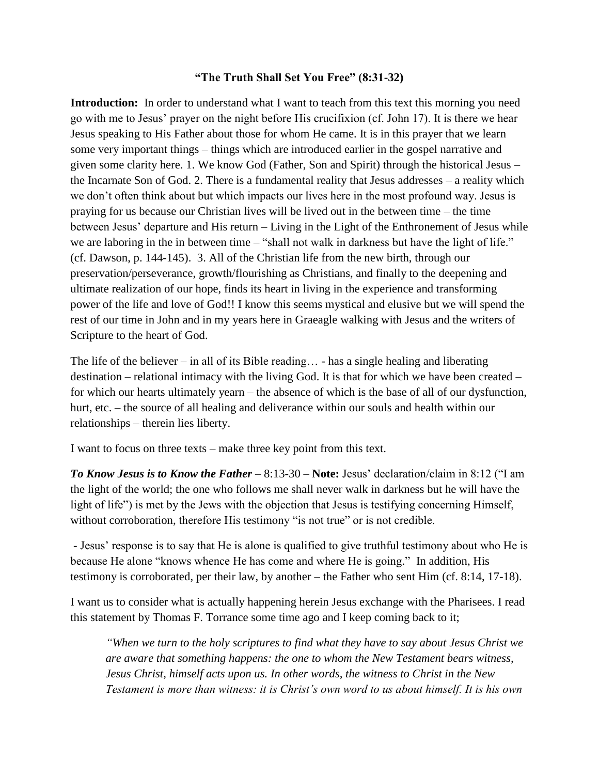## **"The Truth Shall Set You Free" (8:31-32)**

**Introduction:** In order to understand what I want to teach from this text this morning you need go with me to Jesus' prayer on the night before His crucifixion (cf. John 17). It is there we hear Jesus speaking to His Father about those for whom He came. It is in this prayer that we learn some very important things – things which are introduced earlier in the gospel narrative and given some clarity here. 1. We know God (Father, Son and Spirit) through the historical Jesus – the Incarnate Son of God. 2. There is a fundamental reality that Jesus addresses – a reality which we don't often think about but which impacts our lives here in the most profound way. Jesus is praying for us because our Christian lives will be lived out in the between time – the time between Jesus' departure and His return – Living in the Light of the Enthronement of Jesus while we are laboring in the in between time – "shall not walk in darkness but have the light of life." (cf. Dawson, p. 144-145). 3. All of the Christian life from the new birth, through our preservation/perseverance, growth/flourishing as Christians, and finally to the deepening and ultimate realization of our hope, finds its heart in living in the experience and transforming power of the life and love of God!! I know this seems mystical and elusive but we will spend the rest of our time in John and in my years here in Graeagle walking with Jesus and the writers of Scripture to the heart of God.

The life of the believer – in all of its Bible reading... - has a single healing and liberating destination – relational intimacy with the living God. It is that for which we have been created – for which our hearts ultimately yearn – the absence of which is the base of all of our dysfunction, hurt, etc. – the source of all healing and deliverance within our souls and health within our relationships – therein lies liberty.

I want to focus on three texts – make three key point from this text.

*To Know Jesus is to Know the Father* – 8:13-30 – **Note:** Jesus' declaration/claim in 8:12 ("I am the light of the world; the one who follows me shall never walk in darkness but he will have the light of life") is met by the Jews with the objection that Jesus is testifying concerning Himself, without corroboration, therefore His testimony "is not true" or is not credible.

- Jesus' response is to say that He is alone is qualified to give truthful testimony about who He is because He alone "knows whence He has come and where He is going." In addition, His testimony is corroborated, per their law, by another – the Father who sent Him (cf. 8:14, 17-18).

I want us to consider what is actually happening herein Jesus exchange with the Pharisees. I read this statement by Thomas F. Torrance some time ago and I keep coming back to it;

*"When we turn to the holy scriptures to find what they have to say about Jesus Christ we are aware that something happens: the one to whom the New Testament bears witness, Jesus Christ, himself acts upon us. In other words, the witness to Christ in the New Testament is more than witness: it is Christ's own word to us about himself. It is his own*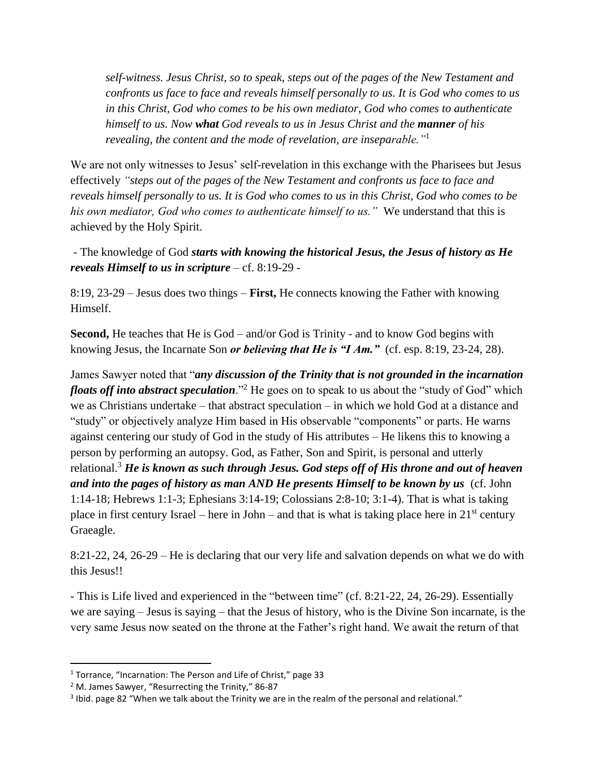*self-witness. Jesus Christ, so to speak, steps out of the pages of the New Testament and confronts us face to face and reveals himself personally to us. It is God who comes to us in this Christ, God who comes to be his own mediator, God who comes to authenticate himself to us. Now what God reveals to us in Jesus Christ and the manner of his revealing, the content and the mode of revelation, are inseparable."*<sup>1</sup>

We are not only witnesses to Jesus' self-revelation in this exchange with the Pharisees but Jesus effectively *"steps out of the pages of the New Testament and confronts us face to face and reveals himself personally to us. It is God who comes to us in this Christ, God who comes to be his own mediator, God who comes to authenticate himself to us."* We understand that this is achieved by the Holy Spirit.

- The knowledge of God *starts with knowing the historical Jesus, the Jesus of history as He reveals Himself to us in scripture* – cf. 8:19-29 -

8:19, 23-29 – Jesus does two things – **First,** He connects knowing the Father with knowing Himself.

**Second,** He teaches that He is God – and/or God is Trinity - and to know God begins with knowing Jesus, the Incarnate Son *or believing that He is "I Am."* (cf. esp. 8:19, 23-24, 28).

James Sawyer noted that "*any discussion of the Trinity that is not grounded in the incarnation floats off into abstract speculation*."<sup>2</sup> He goes on to speak to us about the "study of God" which we as Christians undertake – that abstract speculation – in which we hold God at a distance and "study" or objectively analyze Him based in His observable "components" or parts. He warns against centering our study of God in the study of His attributes – He likens this to knowing a person by performing an autopsy. God, as Father, Son and Spirit, is personal and utterly relational.<sup>3</sup> *He is known as such through Jesus. God steps off of His throne and out of heaven and into the pages of history as man AND He presents Himself to be known by us* (cf. John 1:14-18; Hebrews 1:1-3; Ephesians 3:14-19; Colossians 2:8-10; 3:1-4). That is what is taking place in first century Israel – here in John – and that is what is taking place here in  $21<sup>st</sup>$  century Graeagle.

8:21-22, 24, 26-29 – He is declaring that our very life and salvation depends on what we do with this Jesus!!

- This is Life lived and experienced in the "between time" (cf. 8:21-22, 24, 26-29). Essentially we are saying – Jesus is saying – that the Jesus of history, who is the Divine Son incarnate, is the very same Jesus now seated on the throne at the Father's right hand. We await the return of that

 $\overline{\phantom{a}}$ 

<sup>&</sup>lt;sup>1</sup> Torrance, "Incarnation: The Person and Life of Christ," page 33

<sup>2</sup> M. James Sawyer, "Resurrecting the Trinity," 86-87

 $3$  lbid. page 82 "When we talk about the Trinity we are in the realm of the personal and relational."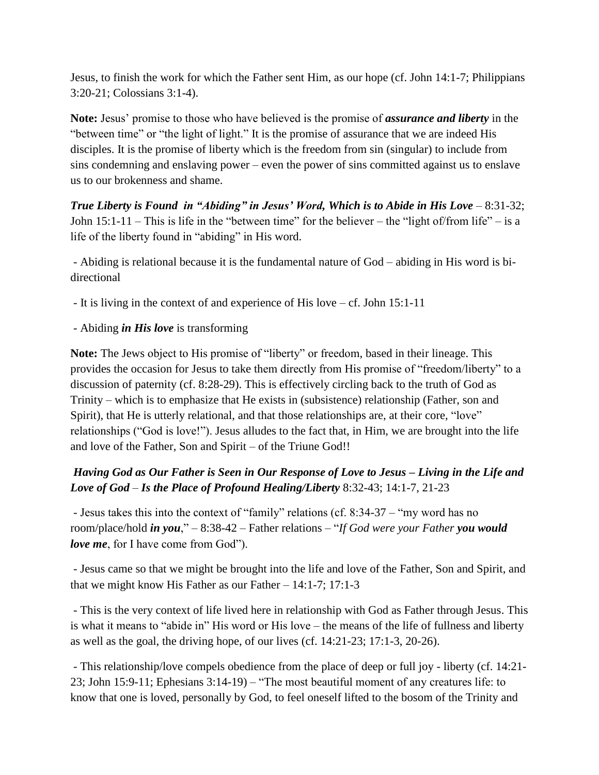Jesus, to finish the work for which the Father sent Him, as our hope (cf. John 14:1-7; Philippians 3:20-21; Colossians 3:1-4).

**Note:** Jesus' promise to those who have believed is the promise of *assurance and liberty* in the "between time" or "the light of light." It is the promise of assurance that we are indeed His disciples. It is the promise of liberty which is the freedom from sin (singular) to include from sins condemning and enslaving power – even the power of sins committed against us to enslave us to our brokenness and shame.

*True Liberty is Found in "Abiding" in Jesus' Word, Which is to Abide in His Love* – 8:31-32; John  $15:1-11$  – This is life in the "between time" for the believer – the "light of/from life" – is a life of the liberty found in "abiding" in His word.

- Abiding is relational because it is the fundamental nature of God – abiding in His word is bidirectional

- It is living in the context of and experience of His love cf. John 15:1-11
- Abiding *in His love* is transforming

**Note:** The Jews object to His promise of "liberty" or freedom, based in their lineage. This provides the occasion for Jesus to take them directly from His promise of "freedom/liberty" to a discussion of paternity (cf. 8:28-29). This is effectively circling back to the truth of God as Trinity – which is to emphasize that He exists in (subsistence) relationship (Father, son and Spirit), that He is utterly relational, and that those relationships are, at their core, "love" relationships ("God is love!"). Jesus alludes to the fact that, in Him, we are brought into the life and love of the Father, Son and Spirit – of the Triune God!!

## *Having God as Our Father is Seen in Our Response of Love to Jesus – Living in the Life and Love of God* – *Is the Place of Profound Healing/Liberty* 8:32-43; 14:1-7, 21-23

- Jesus takes this into the context of "family" relations (cf. 8:34-37 – "my word has no room/place/hold *in you*," – 8:38-42 – Father relations – "*If God were your Father you would love me*, for I have come from God").

- Jesus came so that we might be brought into the life and love of the Father, Son and Spirit, and that we might know His Father as our Father  $-14:1-7$ ; 17:1-3

- This is the very context of life lived here in relationship with God as Father through Jesus. This is what it means to "abide in" His word or His love – the means of the life of fullness and liberty as well as the goal, the driving hope, of our lives (cf. 14:21-23; 17:1-3, 20-26).

- This relationship/love compels obedience from the place of deep or full joy - liberty (cf. 14:21- 23; John 15:9-11; Ephesians 3:14-19) – "The most beautiful moment of any creatures life: to know that one is loved, personally by God, to feel oneself lifted to the bosom of the Trinity and